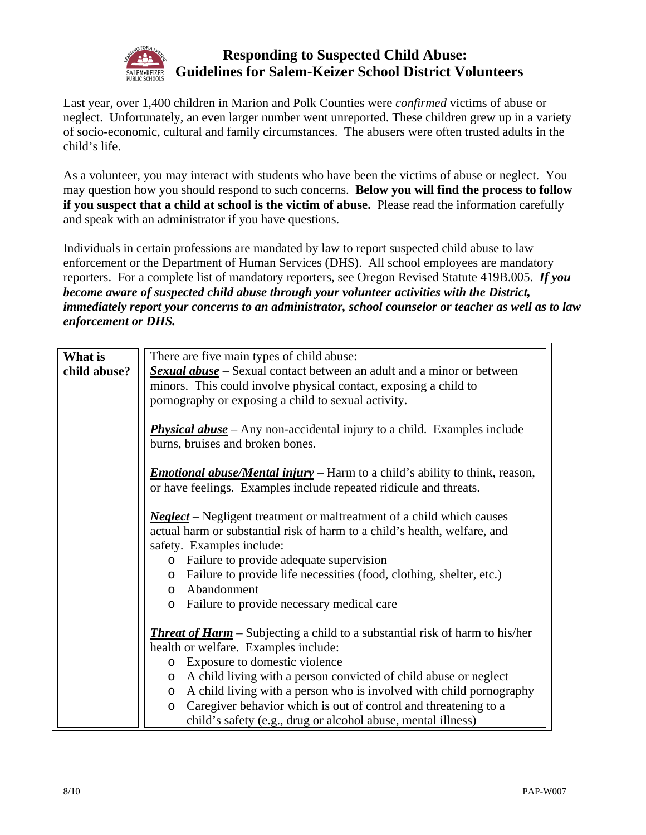

## **Responding to Suspected Child Abuse: Guidelines for Salem-Keizer School District Volunteers**

Last year, over 1,400 children in Marion and Polk Counties were *confirmed* victims of abuse or neglect. Unfortunately, an even larger number went unreported. These children grew up in a variety of socio-economic, cultural and family circumstances. The abusers were often trusted adults in the child's life.

As a volunteer, you may interact with students who have been the victims of abuse or neglect. You may question how you should respond to such concerns. **Below you will find the process to follow if you suspect that a child at school is the victim of abuse.** Please read the information carefully and speak with an administrator if you have questions.

Individuals in certain professions are mandated by law to report suspected child abuse to law enforcement or the Department of Human Services (DHS). All school employees are mandatory reporters. For a complete list of mandatory reporters, see Oregon Revised Statute 419B.005. *If you become aware of suspected child abuse through your volunteer activities with the District, immediately report your concerns to an administrator, school counselor or teacher as well as to law enforcement or DHS.* 

| What is<br>child abuse? | There are five main types of child abuse:<br><b>Sexual abuse</b> – Sexual contact between an adult and a minor or between<br>minors. This could involve physical contact, exposing a child to<br>pornography or exposing a child to sexual activity.                                                                                                                                                                                                        |
|-------------------------|-------------------------------------------------------------------------------------------------------------------------------------------------------------------------------------------------------------------------------------------------------------------------------------------------------------------------------------------------------------------------------------------------------------------------------------------------------------|
|                         | <b>Physical abuse</b> – Any non-accidental injury to a child. Examples include<br>burns, bruises and broken bones.                                                                                                                                                                                                                                                                                                                                          |
|                         | <b>Emotional abuse/Mental injury</b> – Harm to a child's ability to think, reason,<br>or have feelings. Examples include repeated ridicule and threats.                                                                                                                                                                                                                                                                                                     |
|                         | <b>Neglect</b> – Negligent treatment or maltreatment of a child which causes<br>actual harm or substantial risk of harm to a child's health, welfare, and<br>safety. Examples include:<br>o Failure to provide adequate supervision<br>o Failure to provide life necessities (food, clothing, shelter, etc.)<br>o Abandonment<br>o Failure to provide necessary medical care                                                                                |
|                         | <b>Threat of Harm</b> – Subjecting a child to a substantial risk of harm to his/her<br>health or welfare. Examples include:<br>o Exposure to domestic violence<br>o A child living with a person convicted of child abuse or neglect<br>o A child living with a person who is involved with child pornography<br>Caregiver behavior which is out of control and threatening to a<br>$\circ$<br>child's safety (e.g., drug or alcohol abuse, mental illness) |